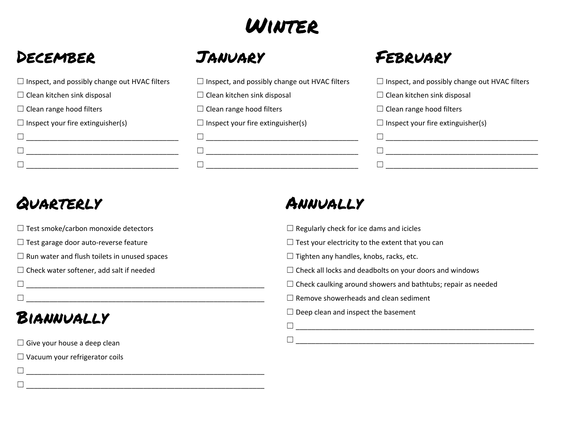# Winter

# December

| $\Box$ Inspect, and possibly change out HVAC filters |
|------------------------------------------------------|
| $\Box$ Clean kitchen sink disposal                   |
| $\Box$ Clean range hood filters                      |
| $\Box$ Inspect your fire extinguisher(s)             |
|                                                      |
|                                                      |
|                                                      |



| $\Box$ Inspect, and possibly change out HVAC filters |
|------------------------------------------------------|
| $\Box$ Clean kitchen sink disposal                   |
| $\Box$ Clean range hood filters                      |
| $\Box$ Inspect your fire extinguisher(s)             |
|                                                      |
|                                                      |
|                                                      |

# February

| $\Box$ Inspect, and possibly change out HVAC filters |  |
|------------------------------------------------------|--|
| $\Box$ Clean kitchen sink disposal                   |  |
| $\Box$ Clean range hood filters                      |  |
| $\Box$ Inspect your fire extinguisher(s)             |  |
|                                                      |  |
|                                                      |  |
|                                                      |  |

# Quarterly

- $\Box$  Test smoke/carbon monoxide detectors
- ☐ Test garage door auto-reverse feature
- $\Box$  Run water and flush toilets in unused spaces

☐ \_\_\_\_\_\_\_\_\_\_\_\_\_\_\_\_\_\_\_\_\_\_\_\_\_\_\_\_\_\_\_\_\_\_\_\_\_\_\_\_\_\_\_\_\_\_\_\_\_\_\_\_\_\_\_\_\_\_\_\_\_ ☐ \_\_\_\_\_\_\_\_\_\_\_\_\_\_\_\_\_\_\_\_\_\_\_\_\_\_\_\_\_\_\_\_\_\_\_\_\_\_\_\_\_\_\_\_\_\_\_\_\_\_\_\_\_\_\_\_\_\_\_\_\_

☐ \_\_\_\_\_\_\_\_\_\_\_\_\_\_\_\_\_\_\_\_\_\_\_\_\_\_\_\_\_\_\_\_\_\_\_\_\_\_\_\_\_\_\_\_\_\_\_\_\_\_\_\_\_\_\_\_\_\_\_\_\_ ☐ \_\_\_\_\_\_\_\_\_\_\_\_\_\_\_\_\_\_\_\_\_\_\_\_\_\_\_\_\_\_\_\_\_\_\_\_\_\_\_\_\_\_\_\_\_\_\_\_\_\_\_\_\_\_\_\_\_\_\_\_\_

 $\Box$  Check water softener, add salt if needed

# Biannually

 $\Box$  Give your house a deep clean

 $\Box$  Vacuum your refrigerator coils

# Annually

- $\Box$  Regularly check for ice dams and icicles
- $\Box$  Test your electricity to the extent that you can
- $\Box$  Tighten any handles, knobs, racks, etc.
- $\Box$  Check all locks and deadbolts on your doors and windows
- $\Box$  Check caulking around showers and bathtubs; repair as needed
- $\Box$  Remove showerheads and clean sediment
- $\Box$  Deep clean and inspect the basement
- ☐ \_\_\_\_\_\_\_\_\_\_\_\_\_\_\_\_\_\_\_\_\_\_\_\_\_\_\_\_\_\_\_\_\_\_\_\_\_\_\_\_\_\_\_\_\_\_\_\_\_\_\_\_\_\_\_\_\_\_\_\_\_ ☐ \_\_\_\_\_\_\_\_\_\_\_\_\_\_\_\_\_\_\_\_\_\_\_\_\_\_\_\_\_\_\_\_\_\_\_\_\_\_\_\_\_\_\_\_\_\_\_\_\_\_\_\_\_\_\_\_\_\_\_\_\_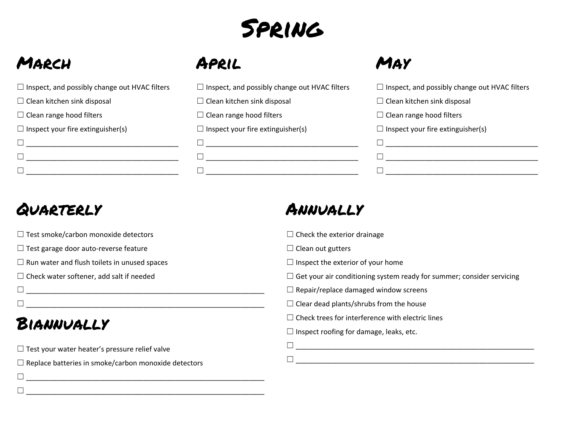

# March

| $\Box$ Inspect, and possibly change out HVAC filters |
|------------------------------------------------------|
| $\Box$ Clean kitchen sink disposal                   |
| $\Box$ Clean range hood filters                      |
| $\Box$ Inspect your fire extinguisher(s)             |
|                                                      |
|                                                      |
|                                                      |

#### April

| $\Box$ Inspect, and possibly change out HVAC filters |
|------------------------------------------------------|
| $\Box$ Clean kitchen sink disposal                   |
| $\Box$ Clean range hood filters                      |
| $\Box$ Inspect your fire extinguisher(s)             |

☐ \_\_\_\_\_\_\_\_\_\_\_\_\_\_\_\_\_\_\_\_\_\_\_\_\_\_\_\_\_\_\_\_\_\_\_\_\_\_\_ ☐ \_\_\_\_\_\_\_\_\_\_\_\_\_\_\_\_\_\_\_\_\_\_\_\_\_\_\_\_\_\_\_\_\_\_\_\_\_\_\_ ☐ \_\_\_\_\_\_\_\_\_\_\_\_\_\_\_\_\_\_\_\_\_\_\_\_\_\_\_\_\_\_\_\_\_\_\_\_\_\_\_ May

| $\Box$ Inspect, and possibly change out HVAC filters |
|------------------------------------------------------|
| $\Box$ Clean kitchen sink disposal                   |
| $\Box$ Clean range hood filters                      |
| $\Box$ Inspect your fire extinguisher(s)             |
|                                                      |
|                                                      |
|                                                      |

# Quarterly

 $\Box$  Test smoke/carbon monoxide detectors

☐ Test garage door auto-reverse feature

 $\Box$  Run water and flush toilets in unused spaces

 $\Box$  Check water softener, add salt if needed

☐ \_\_\_\_\_\_\_\_\_\_\_\_\_\_\_\_\_\_\_\_\_\_\_\_\_\_\_\_\_\_\_\_\_\_\_\_\_\_\_\_\_\_\_\_\_\_\_\_\_\_\_\_\_\_\_\_\_\_\_\_\_  $\Box$ 

# Biannually

 $\Box$  Test your water heater's pressure relief valve

 $\Box$  Replace batteries in smoke/carbon monoxide detectors

☐ \_\_\_\_\_\_\_\_\_\_\_\_\_\_\_\_\_\_\_\_\_\_\_\_\_\_\_\_\_\_\_\_\_\_\_\_\_\_\_\_\_\_\_\_\_\_\_\_\_\_\_\_\_\_\_\_\_\_\_\_\_

☐ \_\_\_\_\_\_\_\_\_\_\_\_\_\_\_\_\_\_\_\_\_\_\_\_\_\_\_\_\_\_\_\_\_\_\_\_\_\_\_\_\_\_\_\_\_\_\_\_\_\_\_\_\_\_\_\_\_\_\_\_\_

# Annually

 $\Box$  Check the exterior drainage

 $\Box$  Clean out gutters

 $\Box$  Inspect the exterior of your home

 $\Box$  Get your air conditioning system ready for summer; consider servicing

 $\Box$  Repair/replace damaged window screens

 $\Box$  Clear dead plants/shrubs from the house

 $\Box$  Check trees for interference with electric lines

 $\Box$  Inspect roofing for damage, leaks, etc.

| _<br>____ |  |  |
|-----------|--|--|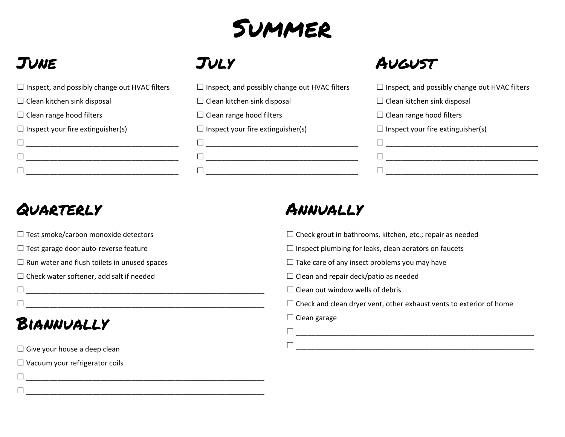

# June

| $\Box$ Inspect, and possibly change out HVAC filters |
|------------------------------------------------------|
| $\Box$ Clean kitchen sink disposal                   |
| $\Box$ Clean range hood filters                      |
| $\Box$ Inspect your fire extinguisher(s)             |
|                                                      |
|                                                      |
|                                                      |

#### July

| $\Box$ Inspect, and possibly change out HVAC filters |
|------------------------------------------------------|
| $\Box$ Clean kitchen sink disposal                   |
| $\Box$ Clean range hood filters                      |
| $\Box$ Inspect your fire extinguisher(s)             |
|                                                      |

☐ \_\_\_\_\_\_\_\_\_\_\_\_\_\_\_\_\_\_\_\_\_\_\_\_\_\_\_\_\_\_\_\_\_\_\_\_\_\_\_ ☐ \_\_\_\_\_\_\_\_\_\_\_\_\_\_\_\_\_\_\_\_\_\_\_\_\_\_\_\_\_\_\_\_\_\_\_\_\_\_\_

# **AUGUST**

| $\Box$ Inspect, and possibly change out HVAC filters |
|------------------------------------------------------|
| $\Box$ Clean kitchen sink disposal                   |
| $\Box$ Clean range hood filters                      |
| $\Box$ Inspect your fire extinguisher(s)             |
|                                                      |
|                                                      |
|                                                      |

# Quarterly

 $\Box$  Test smoke/carbon monoxide detectors

☐ Test garage door auto-reverse feature

 $\Box$  Run water and flush toilets in unused spaces

☐ \_\_\_\_\_\_\_\_\_\_\_\_\_\_\_\_\_\_\_\_\_\_\_\_\_\_\_\_\_\_\_\_\_\_\_\_\_\_\_\_\_\_\_\_\_\_\_\_\_\_\_\_\_\_\_\_\_\_\_\_\_

 $\Box$  Check water softener, add salt if needed

☐ \_\_\_\_\_\_\_\_\_\_\_\_\_\_\_\_\_\_\_\_\_\_\_\_\_\_\_\_\_\_\_\_\_\_\_\_\_\_\_\_\_\_\_\_\_\_\_\_\_\_\_\_\_\_\_\_\_\_\_\_\_

# Biannually

 $\Box$  Give your house a deep clean

 $\Box$  Vacuum your refrigerator coils

☐ \_\_\_\_\_\_\_\_\_\_\_\_\_\_\_\_\_\_\_\_\_\_\_\_\_\_\_\_\_\_\_\_\_\_\_\_\_\_\_\_\_\_\_\_\_\_\_\_\_\_\_\_\_\_\_\_\_\_\_\_\_

☐ \_\_\_\_\_\_\_\_\_\_\_\_\_\_\_\_\_\_\_\_\_\_\_\_\_\_\_\_\_\_\_\_\_\_\_\_\_\_\_\_\_\_\_\_\_\_\_\_\_\_\_\_\_\_\_\_\_\_\_\_\_

# Annually

 $\Box$  Check grout in bathrooms, kitchen, etc.; repair as needed

 $\Box$  Inspect plumbing for leaks, clean aerators on faucets

 $\Box$  Take care of any insect problems you may have

 $\Box$  Clean and repair deck/patio as needed

 $\Box$  Clean out window wells of debris

 $\Box$  Check and clean dryer vent, other exhaust vents to exterior of home

☐ \_\_\_\_\_\_\_\_\_\_\_\_\_\_\_\_\_\_\_\_\_\_\_\_\_\_\_\_\_\_\_\_\_\_\_\_\_\_\_\_\_\_\_\_\_\_\_\_\_\_\_\_\_\_\_\_\_\_\_\_\_

#### $\Box$  Clean garage

☐ \_\_\_\_\_\_\_\_\_\_\_\_\_\_\_\_\_\_\_\_\_\_\_\_\_\_\_\_\_\_\_\_\_\_\_\_\_\_\_\_\_\_\_\_\_\_\_\_\_\_\_\_\_\_\_\_\_\_\_\_\_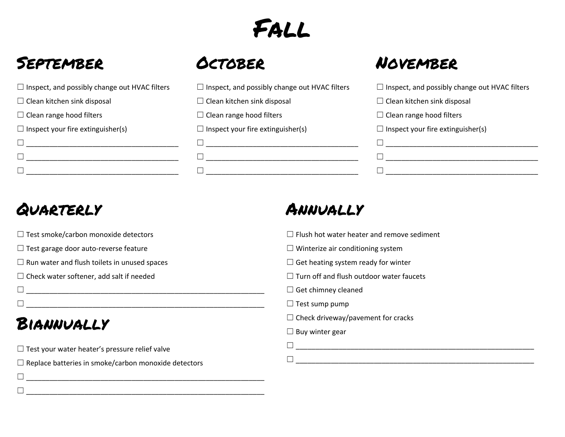# Fall

# September

| $\Box$ Inspect, and possibly change out HVAC filters |
|------------------------------------------------------|
| $\Box$ Clean kitchen sink disposal                   |
| $\Box$ Clean range hood filters                      |
| $\Box$ Inspect your fire extinguisher(s)             |
|                                                      |
|                                                      |
|                                                      |

#### **OCTOBER**

| $\Box$ Inspect, and possibly change out HVAC filters |
|------------------------------------------------------|
| $\Box$ Clean kitchen sink disposal                   |
| $\Box$ Clean range hood filters                      |
| $\Box$ Inspect your fire extinguisher(s)             |
|                                                      |
|                                                      |
|                                                      |

# November

| $\Box$ Inspect, and possibly change out HVAC filters |
|------------------------------------------------------|
| $\Box$ Clean kitchen sink disposal                   |
| $\Box$ Clean range hood filters                      |
| $\Box$ Inspect your fire extinguisher(s)             |
|                                                      |
|                                                      |
|                                                      |

# Quarterly

 $\Box$  Test smoke/carbon monoxide detectors

☐ Test garage door auto-reverse feature

 $\Box$  Run water and flush toilets in unused spaces

☐ Check water softener, add salt if needed

☐ \_\_\_\_\_\_\_\_\_\_\_\_\_\_\_\_\_\_\_\_\_\_\_\_\_\_\_\_\_\_\_\_\_\_\_\_\_\_\_\_\_\_\_\_\_\_\_\_\_\_\_\_\_\_\_\_\_\_\_\_\_  $\Box$ 

# Biannually

 $\Box$  Test your water heater's pressure relief valve

 $\Box$  Replace batteries in smoke/carbon monoxide detectors

☐ \_\_\_\_\_\_\_\_\_\_\_\_\_\_\_\_\_\_\_\_\_\_\_\_\_\_\_\_\_\_\_\_\_\_\_\_\_\_\_\_\_\_\_\_\_\_\_\_\_\_\_\_\_\_\_\_\_\_\_\_\_

☐ \_\_\_\_\_\_\_\_\_\_\_\_\_\_\_\_\_\_\_\_\_\_\_\_\_\_\_\_\_\_\_\_\_\_\_\_\_\_\_\_\_\_\_\_\_\_\_\_\_\_\_\_\_\_\_\_\_\_\_\_\_

# Annually

 $\Box$  Flush hot water heater and remove sediment

 $\Box$  Winterize air conditioning system

 $\Box$  Get heating system ready for winter

 $\Box$  Turn off and flush outdoor water faucets

 $\Box$  Get chimney cleaned

 $\Box$  Test sump pump

 $\Box$  Check driveway/pavement for cracks

 $\Box$  Buy winter gear

☐ \_\_\_\_\_\_\_\_\_\_\_\_\_\_\_\_\_\_\_\_\_\_\_\_\_\_\_\_\_\_\_\_\_\_\_\_\_\_\_\_\_\_\_\_\_\_\_\_\_\_\_\_\_\_\_\_\_\_\_\_\_ ☐ \_\_\_\_\_\_\_\_\_\_\_\_\_\_\_\_\_\_\_\_\_\_\_\_\_\_\_\_\_\_\_\_\_\_\_\_\_\_\_\_\_\_\_\_\_\_\_\_\_\_\_\_\_\_\_\_\_\_\_\_\_